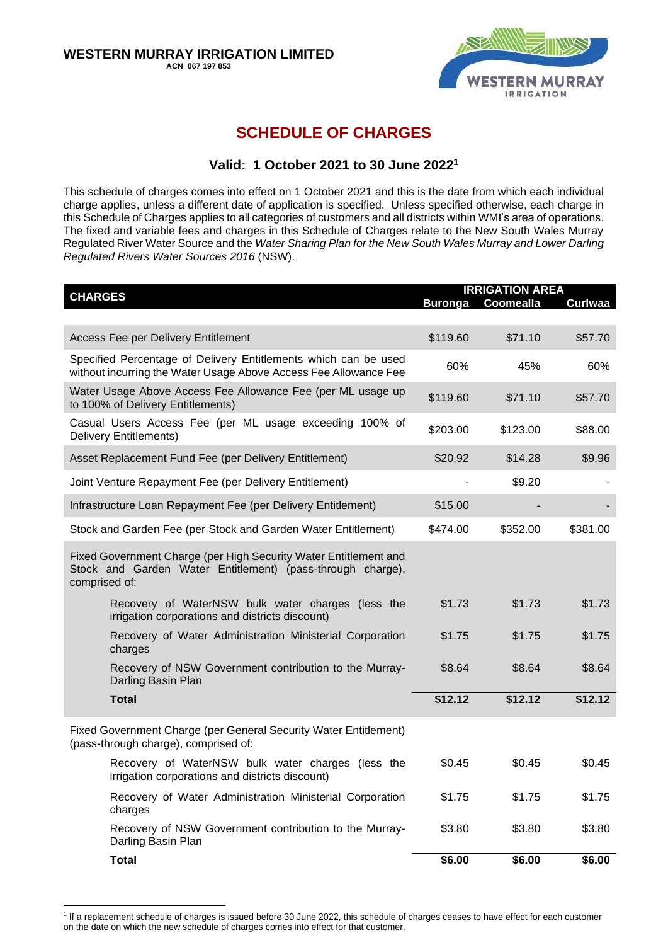

### **SCHEDULE OF CHARGES**

### **Valid: 1 October 2021 to 30 June 2022 1**

This schedule of charges comes into effect on 1 October 2021 and this is the date from which each individual charge applies, unless a different date of application is specified. Unless specified otherwise, each charge in this Schedule of Charges applies to all categories of customers and all districts within WMI's area of operations. The fixed and variable fees and charges in this Schedule of Charges relate to the New South Wales Murray Regulated River Water Source and the *Water Sharing Plan for the New South Wales Murray and Lower Darling Regulated Rivers Water Sources 2016* (NSW).

| <b>CHARGES</b>                                                                                                                                  | <b>IRRIGATION AREA</b><br><b>Buronga</b><br>Coomealla<br>Curlwaa |          |          |
|-------------------------------------------------------------------------------------------------------------------------------------------------|------------------------------------------------------------------|----------|----------|
|                                                                                                                                                 |                                                                  |          |          |
| <b>Access Fee per Delivery Entitlement</b>                                                                                                      | \$119.60                                                         | \$71.10  | \$57.70  |
| Specified Percentage of Delivery Entitlements which can be used<br>without incurring the Water Usage Above Access Fee Allowance Fee             | 60%                                                              | 45%      | 60%      |
| Water Usage Above Access Fee Allowance Fee (per ML usage up<br>to 100% of Delivery Entitlements)                                                | \$119.60                                                         | \$71.10  | \$57.70  |
| Casual Users Access Fee (per ML usage exceeding 100% of<br><b>Delivery Entitlements)</b>                                                        | \$203.00                                                         | \$123.00 | \$88.00  |
| Asset Replacement Fund Fee (per Delivery Entitlement)                                                                                           | \$20.92                                                          | \$14.28  | \$9.96   |
| Joint Venture Repayment Fee (per Delivery Entitlement)                                                                                          |                                                                  | \$9.20   |          |
| Infrastructure Loan Repayment Fee (per Delivery Entitlement)                                                                                    | \$15.00                                                          |          |          |
| Stock and Garden Fee (per Stock and Garden Water Entitlement)                                                                                   | \$474.00                                                         | \$352.00 | \$381.00 |
| Fixed Government Charge (per High Security Water Entitlement and<br>Stock and Garden Water Entitlement) (pass-through charge),<br>comprised of: |                                                                  |          |          |
| Recovery of WaterNSW bulk water charges (less the<br>irrigation corporations and districts discount)                                            | \$1.73                                                           | \$1.73   | \$1.73   |
| Recovery of Water Administration Ministerial Corporation<br>charges                                                                             | \$1.75                                                           | \$1.75   | \$1.75   |
| Recovery of NSW Government contribution to the Murray-<br>Darling Basin Plan                                                                    | \$8.64                                                           | \$8.64   | \$8.64   |
| <b>Total</b>                                                                                                                                    | \$12.12                                                          | \$12.12  | \$12.12  |
| Fixed Government Charge (per General Security Water Entitlement)<br>(pass-through charge), comprised of:                                        |                                                                  |          |          |
| Recovery of WaterNSW bulk water charges (less the<br>irrigation corporations and districts discount)                                            | \$0.45                                                           | \$0.45   | \$0.45   |
| Recovery of Water Administration Ministerial Corporation<br>charges                                                                             | \$1.75                                                           | \$1.75   | \$1.75   |
| Recovery of NSW Government contribution to the Murray-<br>Darling Basin Plan                                                                    | \$3.80                                                           | \$3.80   | \$3.80   |
| <b>Total</b>                                                                                                                                    | \$6.00                                                           | \$6.00   | \$6.00   |

<sup>&</sup>lt;sup>1</sup> If a replacement schedule of charges is issued before 30 June 2022, this schedule of charges ceases to have effect for each customer on the date on which the new schedule of charges comes into effect for that customer.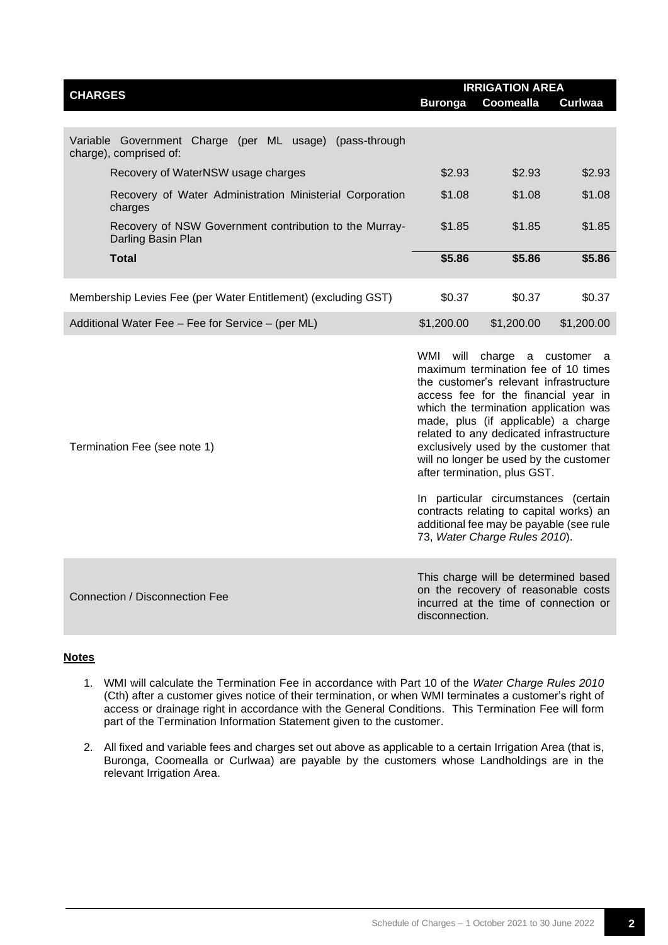| <b>CHARGES</b>                                                                    | <b>IRRIGATION AREA</b> |            |                |  |
|-----------------------------------------------------------------------------------|------------------------|------------|----------------|--|
|                                                                                   | <b>Buronga</b>         | Coomealla  | <b>Curlwaa</b> |  |
|                                                                                   |                        |            |                |  |
| Variable Government Charge (per ML usage) (pass-through<br>charge), comprised of: |                        |            |                |  |
| Recovery of WaterNSW usage charges                                                | \$2.93                 | \$2.93     | \$2.93         |  |
| Recovery of Water Administration Ministerial Corporation<br>charges               | \$1.08                 | \$1.08     | \$1.08         |  |
| Recovery of NSW Government contribution to the Murray-<br>Darling Basin Plan      | \$1.85                 | \$1.85     | \$1.85         |  |
| Total                                                                             | \$5.86                 | \$5.86     | \$5.86         |  |
| Membership Levies Fee (per Water Entitlement) (excluding GST)                     | \$0.37                 | \$0.37     | \$0.37         |  |
| Additional Water Fee – Fee for Service – (per ML)                                 | \$1,200.00             | \$1,200.00 | \$1,200.00     |  |

WMI will charge a customer a maximum termination fee of 10 times the customer's relevant infrastructure access fee for the financial year in which the termination application was made, plus (if applicable) a charge related to any dedicated infrastructure exclusively used by the customer that will no longer be used by the customer after termination, plus GST.

In particular circumstances (certain contracts relating to capital works) an additional fee may be payable (see rule 73, *Water Charge Rules 2010*).

Connection / Disconnection Fee

Termination Fee (see note 1)

This charge will be determined based on the recovery of reasonable costs incurred at the time of connection or disconnection.

#### **Notes**

- 1. WMI will calculate the Termination Fee in accordance with Part 10 of the *Water Charge Rules 2010* (Cth) after a customer gives notice of their termination, or when WMI terminates a customer's right of access or drainage right in accordance with the General Conditions. This Termination Fee will form part of the Termination Information Statement given to the customer.
- 2. All fixed and variable fees and charges set out above as applicable to a certain Irrigation Area (that is, Buronga, Coomealla or Curlwaa) are payable by the customers whose Landholdings are in the relevant Irrigation Area.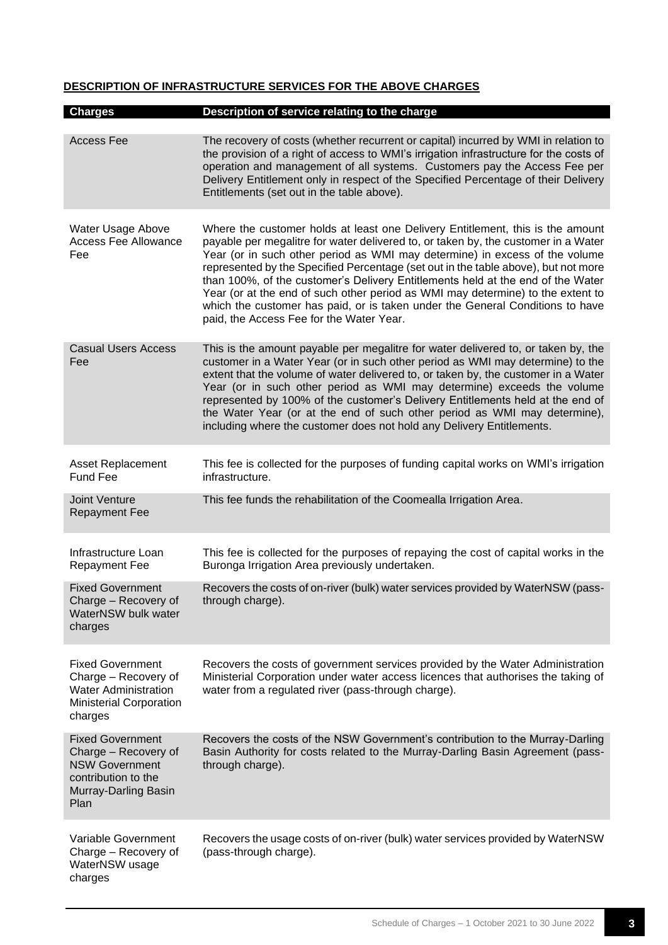#### **DESCRIPTION OF INFRASTRUCTURE SERVICES FOR THE ABOVE CHARGES**

| <b>Charges</b>                                                                                                                  | Description of service relating to the charge                                                                                                                                                                                                                                                                                                                                                                                                                                                                                                                                                                                                |
|---------------------------------------------------------------------------------------------------------------------------------|----------------------------------------------------------------------------------------------------------------------------------------------------------------------------------------------------------------------------------------------------------------------------------------------------------------------------------------------------------------------------------------------------------------------------------------------------------------------------------------------------------------------------------------------------------------------------------------------------------------------------------------------|
| <b>Access Fee</b>                                                                                                               | The recovery of costs (whether recurrent or capital) incurred by WMI in relation to<br>the provision of a right of access to WMI's irrigation infrastructure for the costs of<br>operation and management of all systems. Customers pay the Access Fee per<br>Delivery Entitlement only in respect of the Specified Percentage of their Delivery<br>Entitlements (set out in the table above).                                                                                                                                                                                                                                               |
| Water Usage Above<br><b>Access Fee Allowance</b><br>Fee                                                                         | Where the customer holds at least one Delivery Entitlement, this is the amount<br>payable per megalitre for water delivered to, or taken by, the customer in a Water<br>Year (or in such other period as WMI may determine) in excess of the volume<br>represented by the Specified Percentage (set out in the table above), but not more<br>than 100%, of the customer's Delivery Entitlements held at the end of the Water<br>Year (or at the end of such other period as WMI may determine) to the extent to<br>which the customer has paid, or is taken under the General Conditions to have<br>paid, the Access Fee for the Water Year. |
| <b>Casual Users Access</b><br>Fee                                                                                               | This is the amount payable per megalitre for water delivered to, or taken by, the<br>customer in a Water Year (or in such other period as WMI may determine) to the<br>extent that the volume of water delivered to, or taken by, the customer in a Water<br>Year (or in such other period as WMI may determine) exceeds the volume<br>represented by 100% of the customer's Delivery Entitlements held at the end of<br>the Water Year (or at the end of such other period as WMI may determine),<br>including where the customer does not hold any Delivery Entitlements.                                                                  |
| <b>Asset Replacement</b><br><b>Fund Fee</b>                                                                                     | This fee is collected for the purposes of funding capital works on WMI's irrigation<br>infrastructure.                                                                                                                                                                                                                                                                                                                                                                                                                                                                                                                                       |
| Joint Venture<br><b>Repayment Fee</b>                                                                                           | This fee funds the rehabilitation of the Coomealla Irrigation Area.                                                                                                                                                                                                                                                                                                                                                                                                                                                                                                                                                                          |
| Infrastructure Loan<br><b>Repayment Fee</b>                                                                                     | This fee is collected for the purposes of repaying the cost of capital works in the<br>Buronga Irrigation Area previously undertaken.                                                                                                                                                                                                                                                                                                                                                                                                                                                                                                        |
| <b>Fixed Government</b><br>Charge - Recovery of<br>WaterNSW bulk water<br>charges                                               | Recovers the costs of on-river (bulk) water services provided by WaterNSW (pass-<br>through charge).                                                                                                                                                                                                                                                                                                                                                                                                                                                                                                                                         |
| <b>Fixed Government</b><br>Charge - Recovery of<br><b>Water Administration</b><br><b>Ministerial Corporation</b><br>charges     | Recovers the costs of government services provided by the Water Administration<br>Ministerial Corporation under water access licences that authorises the taking of<br>water from a regulated river (pass-through charge).                                                                                                                                                                                                                                                                                                                                                                                                                   |
| <b>Fixed Government</b><br>Charge - Recovery of<br><b>NSW Government</b><br>contribution to the<br>Murray-Darling Basin<br>Plan | Recovers the costs of the NSW Government's contribution to the Murray-Darling<br>Basin Authority for costs related to the Murray-Darling Basin Agreement (pass-<br>through charge).                                                                                                                                                                                                                                                                                                                                                                                                                                                          |
| Variable Government<br>Charge - Recovery of<br>WaterNSW usage<br>charges                                                        | Recovers the usage costs of on-river (bulk) water services provided by WaterNSW<br>(pass-through charge).                                                                                                                                                                                                                                                                                                                                                                                                                                                                                                                                    |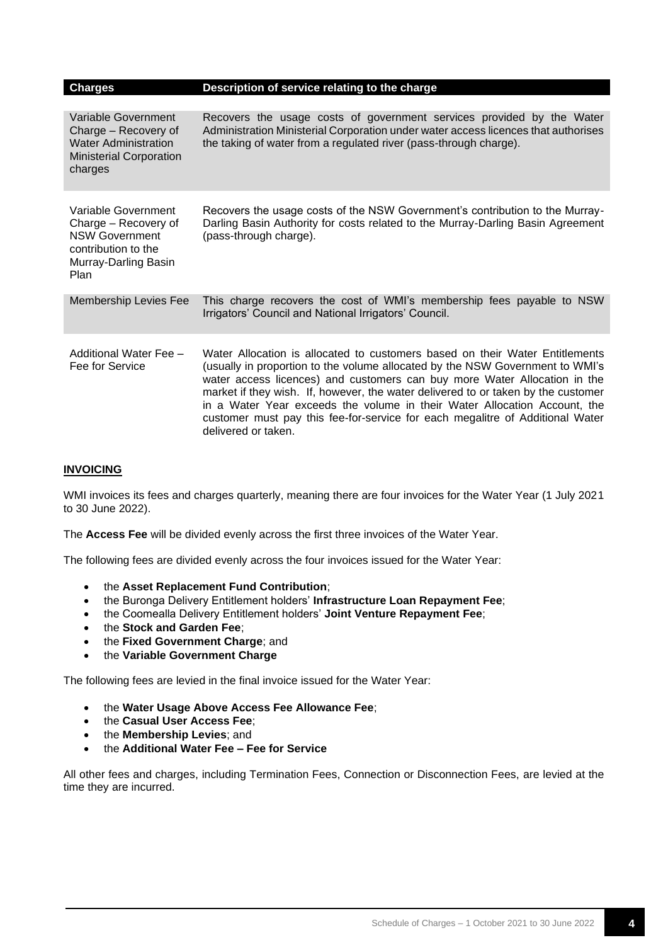| <b>Charges</b>                                                                                                              | Description of service relating to the charge                                                                                                                                                                                                                                                                                                                                                                                                                                                                        |
|-----------------------------------------------------------------------------------------------------------------------------|----------------------------------------------------------------------------------------------------------------------------------------------------------------------------------------------------------------------------------------------------------------------------------------------------------------------------------------------------------------------------------------------------------------------------------------------------------------------------------------------------------------------|
|                                                                                                                             |                                                                                                                                                                                                                                                                                                                                                                                                                                                                                                                      |
| Variable Government<br>Charge - Recovery of<br><b>Water Administration</b><br><b>Ministerial Corporation</b><br>charges     | Recovers the usage costs of government services provided by the Water<br>Administration Ministerial Corporation under water access licences that authorises<br>the taking of water from a regulated river (pass-through charge).                                                                                                                                                                                                                                                                                     |
| Variable Government<br>Charge – Recovery of<br><b>NSW Government</b><br>contribution to the<br>Murray-Darling Basin<br>Plan | Recovers the usage costs of the NSW Government's contribution to the Murray-<br>Darling Basin Authority for costs related to the Murray-Darling Basin Agreement<br>(pass-through charge).                                                                                                                                                                                                                                                                                                                            |
| <b>Membership Levies Fee</b>                                                                                                | This charge recovers the cost of WMI's membership fees payable to NSW<br>Irrigators' Council and National Irrigators' Council.                                                                                                                                                                                                                                                                                                                                                                                       |
| Additional Water Fee -<br>Fee for Service                                                                                   | Water Allocation is allocated to customers based on their Water Entitlements<br>(usually in proportion to the volume allocated by the NSW Government to WMI's<br>water access licences) and customers can buy more Water Allocation in the<br>market if they wish. If, however, the water delivered to or taken by the customer<br>in a Water Year exceeds the volume in their Water Allocation Account, the<br>customer must pay this fee-for-service for each megalitre of Additional Water<br>delivered or taken. |

#### **INVOICING**

WMI invoices its fees and charges quarterly, meaning there are four invoices for the Water Year (1 July 2021 to 30 June 2022).

The **Access Fee** will be divided evenly across the first three invoices of the Water Year.

The following fees are divided evenly across the four invoices issued for the Water Year:

- the **Asset Replacement Fund Contribution**;
- the Buronga Delivery Entitlement holders' **Infrastructure Loan Repayment Fee**;
- the Coomealla Delivery Entitlement holders' **Joint Venture Repayment Fee**;
- the **Stock and Garden Fee**;
- the **Fixed Government Charge**; and
- the **Variable Government Charge**

The following fees are levied in the final invoice issued for the Water Year:

- the **Water Usage Above Access Fee Allowance Fee**;
- the **Casual User Access Fee**;
- the **Membership Levies**; and
- the **Additional Water Fee – Fee for Service**

All other fees and charges, including Termination Fees, Connection or Disconnection Fees, are levied at the time they are incurred.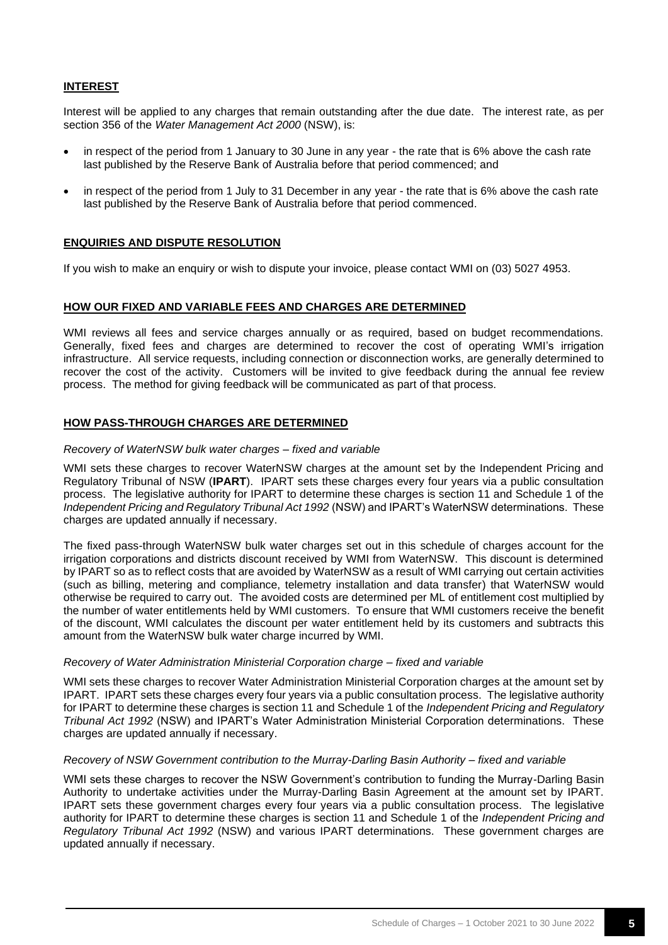#### **INTEREST**

Interest will be applied to any charges that remain outstanding after the due date. The interest rate, as per section 356 of the *Water Management Act 2000* (NSW), is:

- in respect of the period from 1 January to 30 June in any year the rate that is 6% above the cash rate last published by the Reserve Bank of Australia before that period commenced; and
- in respect of the period from 1 July to 31 December in any year the rate that is 6% above the cash rate last published by the Reserve Bank of Australia before that period commenced.

#### **ENQUIRIES AND DISPUTE RESOLUTION**

If you wish to make an enquiry or wish to dispute your invoice, please contact WMI on (03) 5027 4953.

#### **HOW OUR FIXED AND VARIABLE FEES AND CHARGES ARE DETERMINED**

WMI reviews all fees and service charges annually or as required, based on budget recommendations. Generally, fixed fees and charges are determined to recover the cost of operating WMI's irrigation infrastructure. All service requests, including connection or disconnection works, are generally determined to recover the cost of the activity. Customers will be invited to give feedback during the annual fee review process. The method for giving feedback will be communicated as part of that process.

#### **HOW PASS-THROUGH CHARGES ARE DETERMINED**

#### *Recovery of WaterNSW bulk water charges – fixed and variable*

WMI sets these charges to recover WaterNSW charges at the amount set by the Independent Pricing and Regulatory Tribunal of NSW (**IPART**). IPART sets these charges every four years via a public consultation process. The legislative authority for IPART to determine these charges is section 11 and Schedule 1 of the *Independent Pricing and Regulatory Tribunal Act 1992* (NSW) and IPART's WaterNSW determinations. These charges are updated annually if necessary.

The fixed pass-through WaterNSW bulk water charges set out in this schedule of charges account for the irrigation corporations and districts discount received by WMI from WaterNSW. This discount is determined by IPART so as to reflect costs that are avoided by WaterNSW as a result of WMI carrying out certain activities (such as billing, metering and compliance, telemetry installation and data transfer) that WaterNSW would otherwise be required to carry out. The avoided costs are determined per ML of entitlement cost multiplied by the number of water entitlements held by WMI customers. To ensure that WMI customers receive the benefit of the discount, WMI calculates the discount per water entitlement held by its customers and subtracts this amount from the WaterNSW bulk water charge incurred by WMI.

#### *Recovery of Water Administration Ministerial Corporation charge – fixed and variable*

WMI sets these charges to recover Water Administration Ministerial Corporation charges at the amount set by IPART. IPART sets these charges every four years via a public consultation process. The legislative authority for IPART to determine these charges is section 11 and Schedule 1 of the *Independent Pricing and Regulatory Tribunal Act 1992* (NSW) and IPART's Water Administration Ministerial Corporation determinations. These charges are updated annually if necessary.

#### *Recovery of NSW Government contribution to the Murray-Darling Basin Authority – fixed and variable*

WMI sets these charges to recover the NSW Government's contribution to funding the Murray-Darling Basin Authority to undertake activities under the Murray-Darling Basin Agreement at the amount set by IPART. IPART sets these government charges every four years via a public consultation process. The legislative authority for IPART to determine these charges is section 11 and Schedule 1 of the *Independent Pricing and Regulatory Tribunal Act 1992* (NSW) and various IPART determinations. These government charges are updated annually if necessary.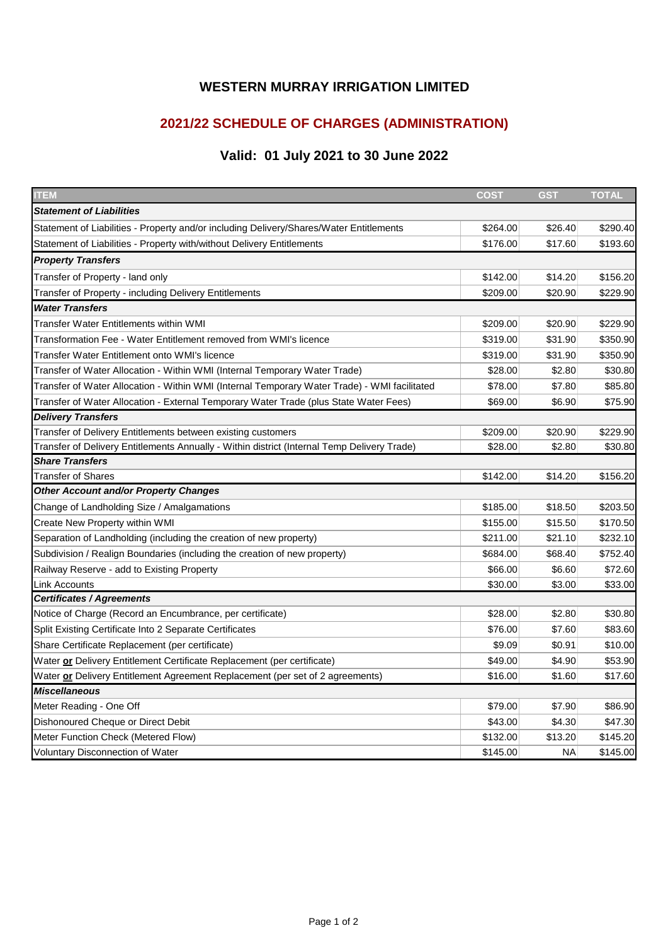### **WESTERN MURRAY IRRIGATION LIMITED**

# **2021/22 SCHEDULE OF CHARGES (ADMINISTRATION)**

# **Valid: 01 July 2021 to 30 June 2022**

| <b>ITEM</b>                                                                                  | <b>COST</b> | <b>GST</b> | <b>TOTAL</b> |
|----------------------------------------------------------------------------------------------|-------------|------------|--------------|
| <b>Statement of Liabilities</b>                                                              |             |            |              |
| Statement of Liabilities - Property and/or including Delivery/Shares/Water Entitlements      | \$264.00    | \$26.40    | \$290.40     |
| Statement of Liabilities - Property with/without Delivery Entitlements                       | \$176.00    | \$17.60    | \$193.60     |
| <b>Property Transfers</b>                                                                    |             |            |              |
| Transfer of Property - land only                                                             | \$142.00    | \$14.20    | \$156.20     |
| Transfer of Property - including Delivery Entitlements                                       | \$209.00    | \$20.90    | \$229.90     |
| <b>Water Transfers</b>                                                                       |             |            |              |
| <b>Transfer Water Entitlements within WMI</b>                                                | \$209.00    | \$20.90    | \$229.90     |
| Transformation Fee - Water Entitlement removed from WMI's licence                            | \$319.00    | \$31.90    | \$350.90     |
| <b>Transfer Water Entitlement onto WMI's licence</b>                                         | \$319.00    | \$31.90    | \$350.90     |
| Transfer of Water Allocation - Within WMI (Internal Temporary Water Trade)                   | \$28.00     | \$2.80     | \$30.80      |
| Transfer of Water Allocation - Within WMI (Internal Temporary Water Trade) - WMI facilitated | \$78.00     | \$7.80     | \$85.80      |
| Transfer of Water Allocation - External Temporary Water Trade (plus State Water Fees)        | \$69.00     | \$6.90     | \$75.90      |
| <b>Delivery Transfers</b>                                                                    |             |            |              |
| Transfer of Delivery Entitlements between existing customers                                 | \$209.00    | \$20.90    | \$229.90     |
| Transfer of Delivery Entitlements Annually - Within district (Internal Temp Delivery Trade)  | \$28.00     | \$2.80     | \$30.80      |
| <b>Share Transfers</b>                                                                       |             |            |              |
| <b>Transfer of Shares</b>                                                                    | \$142.00    | \$14.20    | \$156.20     |
| <b>Other Account and/or Property Changes</b>                                                 |             |            |              |
| Change of Landholding Size / Amalgamations                                                   | \$185.00    | \$18.50    | \$203.50     |
| Create New Property within WMI                                                               | \$155.00    | \$15.50    | \$170.50     |
| Separation of Landholding (including the creation of new property)                           | \$211.00    | \$21.10    | \$232.10     |
| Subdivision / Realign Boundaries (including the creation of new property)                    | \$684.00    | \$68.40    | \$752.40     |
| Railway Reserve - add to Existing Property                                                   | \$66.00     | \$6.60     | \$72.60      |
| <b>Link Accounts</b>                                                                         | \$30.00     | \$3.00     | \$33.00      |
| <b>Certificates / Agreements</b>                                                             |             |            |              |
| Notice of Charge (Record an Encumbrance, per certificate)                                    | \$28.00     | \$2.80     | \$30.80      |
| Split Existing Certificate Into 2 Separate Certificates                                      | \$76.00     | \$7.60     | \$83.60      |
| Share Certificate Replacement (per certificate)                                              | \$9.09      | \$0.91     | \$10.00      |
| Water or Delivery Entitlement Certificate Replacement (per certificate)                      | \$49.00     | \$4.90     | \$53.90      |
| Water or Delivery Entitlement Agreement Replacement (per set of 2 agreements)                | \$16.00     | \$1.60     | \$17.60      |
| <b>Miscellaneous</b>                                                                         |             |            |              |
| Meter Reading - One Off                                                                      | \$79.00     | \$7.90     | \$86.90      |
| Dishonoured Cheque or Direct Debit                                                           | \$43.00     | \$4.30     | \$47.30      |
| Meter Function Check (Metered Flow)                                                          | \$132.00    | \$13.20    | \$145.20     |
| Voluntary Disconnection of Water                                                             | \$145.00    | <b>NA</b>  | \$145.00     |